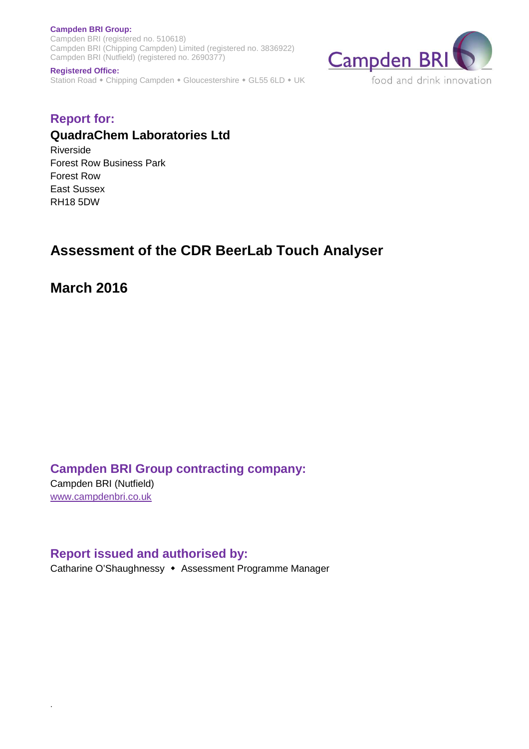**Campden BRI Group:**  Campden BRI (registered no. 510618) Campden BRI (Chipping Campden) Limited (registered no. 3836922) Campden BRI (Nutfield) (registered no. 2690377)



#### **Registered Office:**

Station Road • Chipping Campden • Gloucestershire • GL55 6LD • UK

## **Report for: QuadraChem Laboratories Ltd**

Riverside Forest Row Business Park Forest Row East Sussex RH18 5DW

# **Assessment of the CDR BeerLab Touch Analyser**

**March 2016** 

**Campden BRI Group contracting company:** 

Campden BRI (Nutfield) www.campdenbri.co.uk

.

**Report issued and authorised by:**  Catharine O'Shaughnessy • Assessment Programme Manager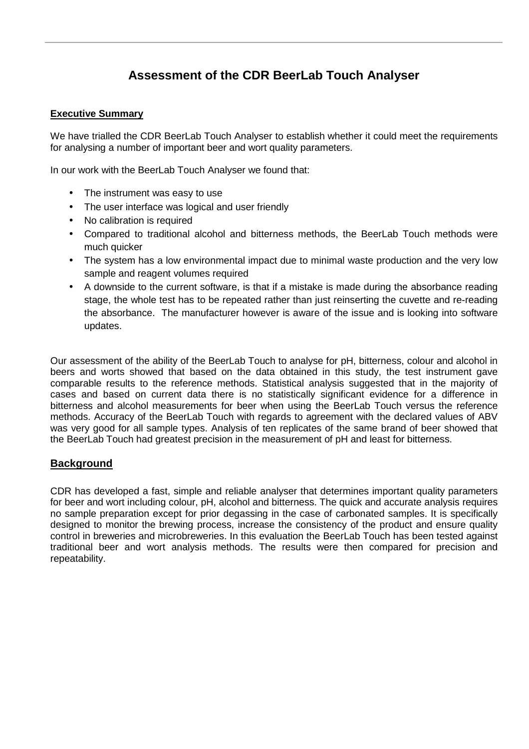## **Assessment of the CDR BeerLab Touch Analyser**

## **Executive Summary**

We have trialled the CDR BeerLab Touch Analyser to establish whether it could meet the requirements for analysing a number of important beer and wort quality parameters.

In our work with the BeerLab Touch Analyser we found that:

- The instrument was easy to use
- The user interface was logical and user friendly
- No calibration is required
- Compared to traditional alcohol and bitterness methods, the BeerLab Touch methods were much quicker
- The system has a low environmental impact due to minimal waste production and the very low sample and reagent volumes required
- A downside to the current software, is that if a mistake is made during the absorbance reading stage, the whole test has to be repeated rather than just reinserting the cuvette and re-reading the absorbance. The manufacturer however is aware of the issue and is looking into software updates.

Our assessment of the ability of the BeerLab Touch to analyse for pH, bitterness, colour and alcohol in beers and worts showed that based on the data obtained in this study, the test instrument gave comparable results to the reference methods. Statistical analysis suggested that in the majority of cases and based on current data there is no statistically significant evidence for a difference in bitterness and alcohol measurements for beer when using the BeerLab Touch versus the reference methods. Accuracy of the BeerLab Touch with regards to agreement with the declared values of ABV was very good for all sample types. Analysis of ten replicates of the same brand of beer showed that the BeerLab Touch had greatest precision in the measurement of pH and least for bitterness.

## **Background**

CDR has developed a fast, simple and reliable analyser that determines important quality parameters for beer and wort including colour, pH, alcohol and bitterness. The quick and accurate analysis requires no sample preparation except for prior degassing in the case of carbonated samples. It is specifically designed to monitor the brewing process, increase the consistency of the product and ensure quality control in breweries and microbreweries. In this evaluation the BeerLab Touch has been tested against traditional beer and wort analysis methods. The results were then compared for precision and repeatability.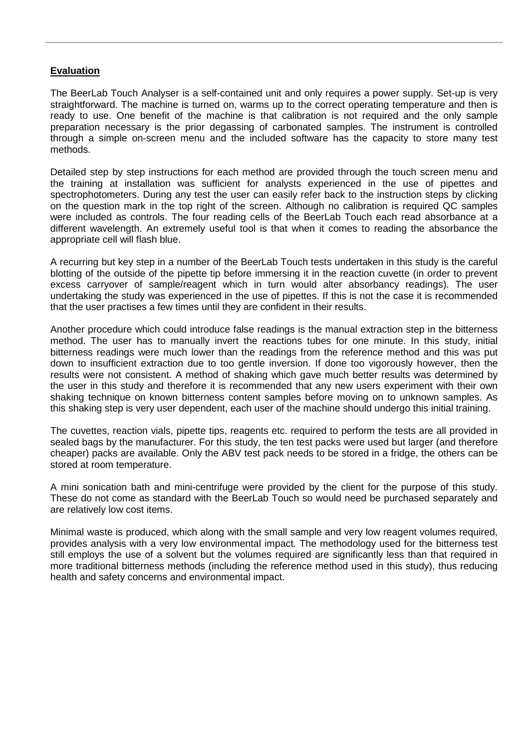## **Evaluation**

The BeerLab Touch Analyser is a self-contained unit and only requires a power supply. Set-up is very straightforward. The machine is turned on, warms up to the correct operating temperature and then is ready to use. One benefit of the machine is that calibration is not required and the only sample preparation necessary is the prior degassing of carbonated samples. The instrument is controlled through a simple on-screen menu and the included software has the capacity to store many test methods.

Detailed step by step instructions for each method are provided through the touch screen menu and the training at installation was sufficient for analysts experienced in the use of pipettes and spectrophotometers. During any test the user can easily refer back to the instruction steps by clicking on the question mark in the top right of the screen. Although no calibration is required QC samples were included as controls. The four reading cells of the BeerLab Touch each read absorbance at a different wavelength. An extremely useful tool is that when it comes to reading the absorbance the appropriate cell will flash blue.

A recurring but key step in a number of the BeerLab Touch tests undertaken in this study is the careful blotting of the outside of the pipette tip before immersing it in the reaction cuvette (in order to prevent excess carryover of sample/reagent which in turn would alter absorbancy readings). The user undertaking the study was experienced in the use of pipettes. If this is not the case it is recommended that the user practises a few times until they are confident in their results.

Another procedure which could introduce false readings is the manual extraction step in the bitterness method. The user has to manually invert the reactions tubes for one minute. In this study, initial bitterness readings were much lower than the readings from the reference method and this was put down to insufficient extraction due to too gentle inversion. If done too vigorously however, then the results were not consistent. A method of shaking which gave much better results was determined by the user in this study and therefore it is recommended that any new users experiment with their own shaking technique on known bitterness content samples before moving on to unknown samples. As this shaking step is very user dependent, each user of the machine should undergo this initial training.

The cuvettes, reaction vials, pipette tips, reagents etc. required to perform the tests are all provided in sealed bags by the manufacturer. For this study, the ten test packs were used but larger (and therefore cheaper) packs are available. Only the ABV test pack needs to be stored in a fridge, the others can be stored at room temperature.

A mini sonication bath and mini-centrifuge were provided by the client for the purpose of this study. These do not come as standard with the BeerLab Touch so would need be purchased separately and are relatively low cost items.

Minimal waste is produced, which along with the small sample and very low reagent volumes required, provides analysis with a very low environmental impact. The methodology used for the bitterness test still employs the use of a solvent but the volumes required are significantly less than that required in more traditional bitterness methods (including the reference method used in this study), thus reducing health and safety concerns and environmental impact.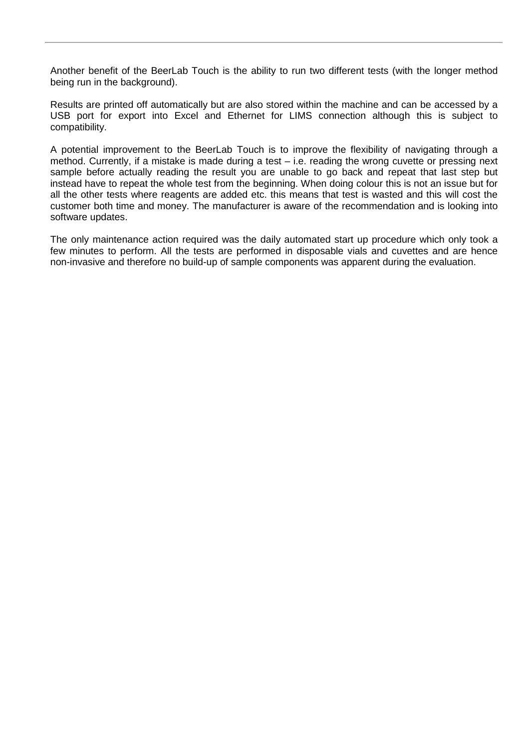Another benefit of the BeerLab Touch is the ability to run two different tests (with the longer method being run in the background).

Results are printed off automatically but are also stored within the machine and can be accessed by a USB port for export into Excel and Ethernet for LIMS connection although this is subject to compatibility.

A potential improvement to the BeerLab Touch is to improve the flexibility of navigating through a method. Currently, if a mistake is made during a test – i.e. reading the wrong cuvette or pressing next sample before actually reading the result you are unable to go back and repeat that last step but instead have to repeat the whole test from the beginning. When doing colour this is not an issue but for all the other tests where reagents are added etc. this means that test is wasted and this will cost the customer both time and money. The manufacturer is aware of the recommendation and is looking into software updates.

The only maintenance action required was the daily automated start up procedure which only took a few minutes to perform. All the tests are performed in disposable vials and cuvettes and are hence non-invasive and therefore no build-up of sample components was apparent during the evaluation.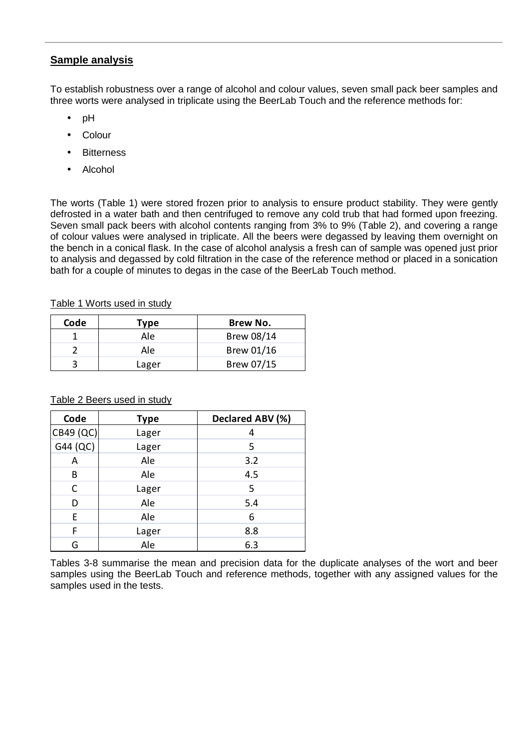## **Sample analysis**

To establish robustness over a range of alcohol and colour values, seven small pack beer samples and three worts were analysed in triplicate using the BeerLab Touch and the reference methods for:

- pH
- Colour
- Bitterness
- Alcohol

The worts (Table 1) were stored frozen prior to analysis to ensure product stability. They were gently defrosted in a water bath and then centrifuged to remove any cold trub that had formed upon freezing. Seven small pack beers with alcohol contents ranging from 3% to 9% (Table 2), and covering a range of colour values were analysed in triplicate. All the beers were degassed by leaving them overnight on the bench in a conical flask. In the case of alcohol analysis a fresh can of sample was opened just prior to analysis and degassed by cold filtration in the case of the reference method or placed in a sonication bath for a couple of minutes to degas in the case of the BeerLab Touch method.

## Table 1 Worts used in study

| Code | Type  | Brew No.   |
|------|-------|------------|
|      | Ale   | Brew 08/14 |
|      | Ale   | Brew 01/16 |
|      | Lager | Brew 07/15 |

## Table 2 Beers used in study

| Code      | <b>Type</b> | Declared ABV (%) |
|-----------|-------------|------------------|
| CB49 (QC) | Lager       |                  |
| G44 (QC)  | Lager       | 5                |
| Α         | Ale         | 3.2              |
| В         | Ale         | 4.5              |
| С         | Lager       | 5                |
| D         | Ale         | 5.4              |
| E         | Ale         | 6                |
| F         | Lager       | 8.8              |
| G         | Ale         | 6.3              |

Tables 3-8 summarise the mean and precision data for the duplicate analyses of the wort and beer samples using the BeerLab Touch and reference methods, together with any assigned values for the samples used in the tests.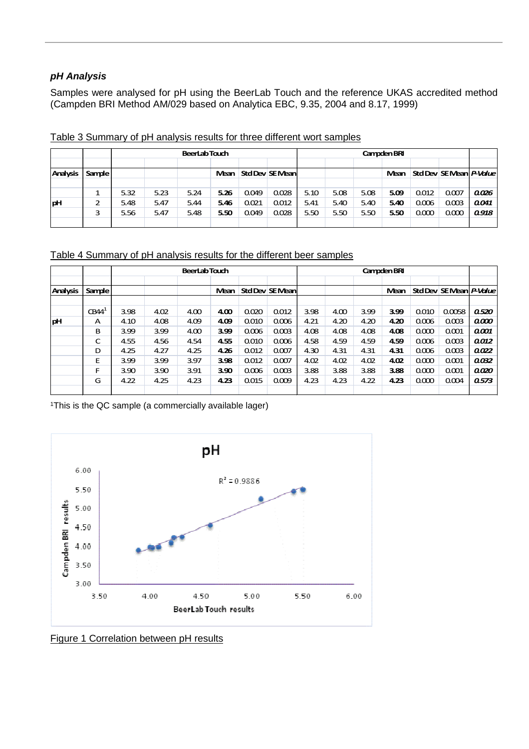## **pH Analysis**

Samples were analysed for pH using the BeerLab Touch and the reference UKAS accredited method (Campden BRI Method AM/029 based on Analytica EBC, 9.35, 2004 and 8.17, 1999)

|                 |        | <b>BeerLabTouch</b> |      |      |               |       |                 | Campden BRI |      |      |      |       |                         |       |
|-----------------|--------|---------------------|------|------|---------------|-------|-----------------|-------------|------|------|------|-------|-------------------------|-------|
| <b>Analysis</b> | Sample |                     |      |      | Mean <b>M</b> |       | Std Dev SE Mean |             |      |      | Mean |       | Std Dev SE Mean P-Value |       |
|                 |        |                     |      |      |               |       |                 |             |      |      |      |       |                         |       |
|                 |        | 5.32                | 5.23 | 5.24 | 5.26          | 0.049 | 0.028           | 5.10        | 5.08 | 5.08 | 5.09 | 0.012 | 0.007                   | 0.026 |
| pH              |        | 5.48                | 5.47 | 5.44 | 5.46          | 0.021 | 0.012           | 5.41        | 5.40 | 5.40 | 5.40 | 0.006 | 0.003                   | 0.041 |
|                 |        | 5.56                | 5.47 | 5.48 | 5.50          | 0.049 | 0.028           | 5.50        | 5.50 | 5.50 | 5.50 | 0.000 | 0.000                   | 0.918 |
|                 |        |                     |      |      |               |       |                 |             |      |      |      |       |                         |       |

Table 3 Summary of pH analysis results for three different wort samples

## Table 4 Summary of pH analysis results for the different beer samples

|                 |                   |      | <b>BeerLabTouch</b> |      |      |       |                 |      | Campden BRI |      |      |       |                         |       |
|-----------------|-------------------|------|---------------------|------|------|-------|-----------------|------|-------------|------|------|-------|-------------------------|-------|
| <b>Analysis</b> | Sample            |      |                     |      | Mean |       | Std Dev SE Mean |      |             |      | Mean |       | Std Dev SE Mean P-Value |       |
|                 | CBA4 <sup>1</sup> | 3.98 | 4.02                | 4.00 | 4.00 | 0.020 | 0.012           | 3.98 | 4.00        | 3.99 | 3.99 | 0.010 | 0.0058                  | 0.520 |
| pH              | А                 | 4.10 | 4.08                | 4.09 | 4.09 | 0.010 | 0.006           | 4.21 | 4.20        | 4.20 | 4.20 | 0.006 | 0.003                   | 0.000 |
|                 | в                 | 3.99 | 3.99                | 4.00 | 3.99 | 0.006 | 0.003           | 4.08 | 4.08        | 4.08 | 4.08 | 0.000 | 0.001                   | 0.001 |
|                 | C                 | 4.55 | 4.56                | 4.54 | 4.55 | 0.010 | 0.006           | 4.58 | 4.59        | 4.59 | 4.59 | 0.006 | 0.003                   | 0.012 |
|                 | D                 | 4.25 | 4.27                | 4.25 | 4.26 | 0.012 | 0.007           | 4.30 | 4.31        | 4.31 | 4.31 | 0.006 | 0.003                   | 0.022 |
|                 | E                 | 3.99 | 3.99                | 3.97 | 3.98 | 0.012 | 0.007           | 4.02 | 4.02        | 4.02 | 4.02 | 0.000 | 0.001                   | 0.032 |
|                 | F                 | 3.90 | 3.90                | 3.91 | 3.90 | 0.006 | 0.003           | 3.88 | 3.88        | 3.88 | 3.88 | 0.000 | 0.001                   | 0.020 |
|                 | G                 | 4.22 | 4.25                | 4.23 | 4.23 | 0.015 | 0.009           | 4.23 | 4.23        | 4.22 | 4.23 | 0.000 | 0.004                   | 0.573 |
|                 |                   |      |                     |      |      |       |                 |      |             |      |      |       |                         |       |

<sup>1</sup>This is the QC sample (a commercially available lager)



Figure 1 Correlation between pH results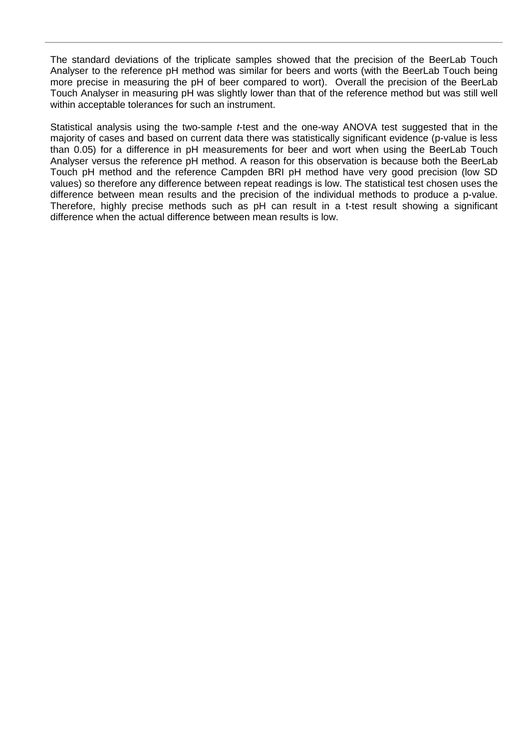The standard deviations of the triplicate samples showed that the precision of the BeerLab Touch Analyser to the reference pH method was similar for beers and worts (with the BeerLab Touch being more precise in measuring the pH of beer compared to wort). Overall the precision of the BeerLab Touch Analyser in measuring pH was slightly lower than that of the reference method but was still well within acceptable tolerances for such an instrument.

Statistical analysis using the two-sample *t*-test and the one-way ANOVA test suggested that in the majority of cases and based on current data there was statistically significant evidence (p-value is less than 0.05) for a difference in pH measurements for beer and wort when using the BeerLab Touch Analyser versus the reference pH method. A reason for this observation is because both the BeerLab Touch pH method and the reference Campden BRI pH method have very good precision (low SD values) so therefore any difference between repeat readings is low. The statistical test chosen uses the difference between mean results and the precision of the individual methods to produce a p-value. Therefore, highly precise methods such as pH can result in a t-test result showing a significant difference when the actual difference between mean results is low.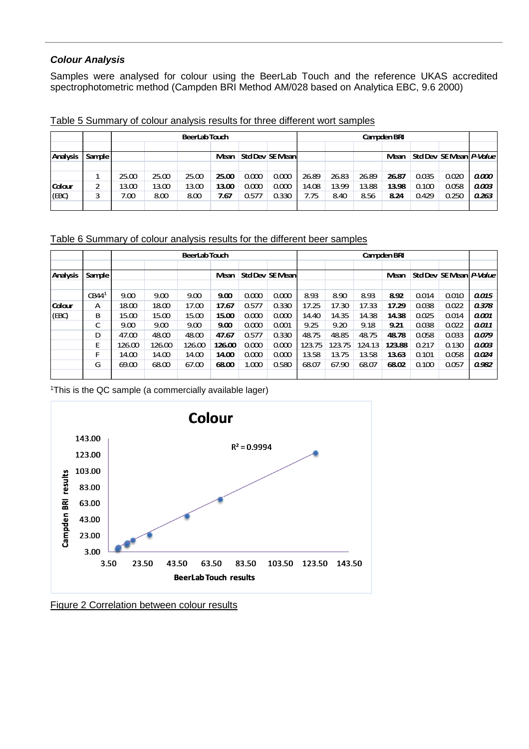## **Colour Analysis**

Samples were analysed for colour using the BeerLab Touch and the reference UKAS accredited spectrophotometric method (Campden BRI Method AM/028 based on Analytica EBC, 9.6 2000)

|                 |        |       | <b>BeerLabTouch</b> |       |        |       |                 |       | Campden BRI |       |       |       |                         |       |
|-----------------|--------|-------|---------------------|-------|--------|-------|-----------------|-------|-------------|-------|-------|-------|-------------------------|-------|
|                 |        |       |                     |       |        |       |                 |       |             |       |       |       |                         |       |
| <b>Analysis</b> | Sample |       |                     |       | Mean I |       | Std Dev SE Mean |       |             |       | Mean  |       | Std Dev SE Mean P-Value |       |
|                 |        |       |                     |       |        |       |                 |       |             |       |       |       |                         |       |
|                 |        | 25.00 | 25.00               | 25.00 | 25.00  | 0.000 | 0.000           | 26.89 | 26.83       | 26.89 | 26.87 | 0.035 | 0.020                   | 0.000 |
| Colour          | 2      | 13.00 | 13.00               | 13.00 | 13.00  | 0.000 | 0.000           | 14.08 | 13.99       | 13.88 | 13.98 | 0.100 | 0.058                   | 0.003 |
| (EEC)           |        | 7.00  | 8.00                | 8.00  | 7.67   | 0.577 | 0.330           | 7.75  | 8.40        | 8.56  | 8.24  | 0.429 | 0.250                   | 0.263 |
|                 |        |       |                     |       |        |       |                 |       |             |       |       |       |                         |       |

Table 5 Summary of colour analysis results for three different wort samples

Table 6 Summary of colour analysis results for the different beer samples

|                 |                   |        | <b>BeerLabTouch</b> |        |        |       |                 |        | Campden BRI |        |        |       |                         |       |
|-----------------|-------------------|--------|---------------------|--------|--------|-------|-----------------|--------|-------------|--------|--------|-------|-------------------------|-------|
| <b>Analysis</b> | <b>Sample</b>     |        |                     |        | Mean   |       | Std Dev SE Mean |        |             |        | Mean   |       | Std Dev SE Mean P-Value |       |
|                 | CBA4 <sup>1</sup> | 9.00   | 9.00                | 9.00   | 9.00   | 0.000 | 0.000           | 8.93   | 8.90        | 8.93   | 8.92   | 0.014 | 0.010                   | 0.015 |
| Colour          | А                 | 18.00  | 18.00               | 17.00  | 17.67  | 0.577 | 0.330           | 17.25  | 17.30       | 17.33  | 17.29  | 0.038 | 0.022                   | 0.378 |
| (EBC)           | в                 | 15.00  | 15.00               | 15.00  | 15.00  | 0.000 | 0.000           | 14.40  | 14.35       | 14.38  | 14.38  | 0.025 | 0.014                   | 0.001 |
|                 | C                 | 9.00   | 9.00                | 9.00   | 9.00   | 0.000 | 0.001           | 9.25   | 9.20        | 9.18   | 9.21   | 0.038 | 0.022                   | 0.011 |
|                 | D                 | 47.00  | 48.00               | 48.00  | 47.67  | 0.577 | 0.330           | 48.75  | 48.85       | 48.75  | 48.78  | 0.058 | 0.033                   | 0.079 |
|                 | Е                 | 126.00 | 126.00              | 126.00 | 126.00 | 0.000 | 0.000           | 123.75 | 123.75      | 124.13 | 123.88 | 0.217 | 0.130                   | 0.003 |
|                 | F                 | 14.00  | 14.00               | 14.00  | 14.00  | 0.000 | 0.000           | 13.58  | 13.75       | 13.58  | 13.63  | 0.101 | 0.058                   | 0.024 |
|                 | G                 | 69.00  | 68.00               | 67.00  | 68.00  | 1.000 | 0.580           | 68.07  | 67.90       | 68.07  | 68.02  | 0.100 | 0.057                   | 0.982 |
|                 |                   |        |                     |        |        |       |                 |        |             |        |        |       |                         |       |

<sup>1</sup>This is the QC sample (a commercially available lager)



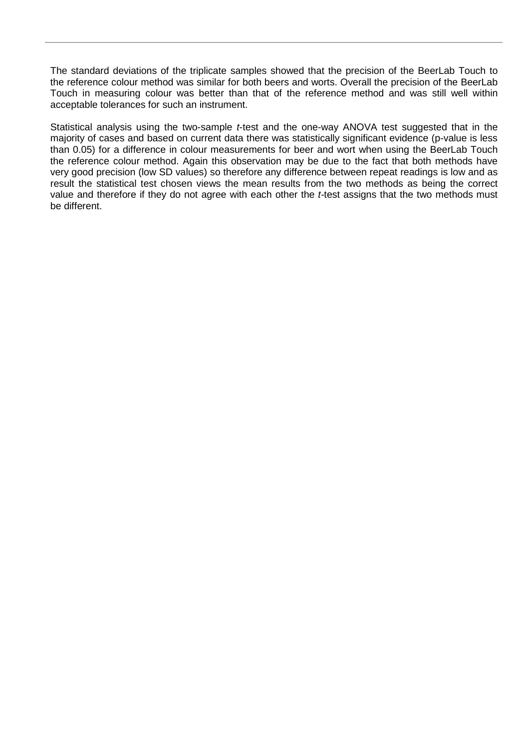The standard deviations of the triplicate samples showed that the precision of the BeerLab Touch to the reference colour method was similar for both beers and worts. Overall the precision of the BeerLab Touch in measuring colour was better than that of the reference method and was still well within acceptable tolerances for such an instrument.

Statistical analysis using the two-sample *t*-test and the one-way ANOVA test suggested that in the majority of cases and based on current data there was statistically significant evidence (p-value is less than 0.05) for a difference in colour measurements for beer and wort when using the BeerLab Touch the reference colour method. Again this observation may be due to the fact that both methods have very good precision (low SD values) so therefore any difference between repeat readings is low and as result the statistical test chosen views the mean results from the two methods as being the correct value and therefore if they do not agree with each other the t-test assigns that the two methods must be different.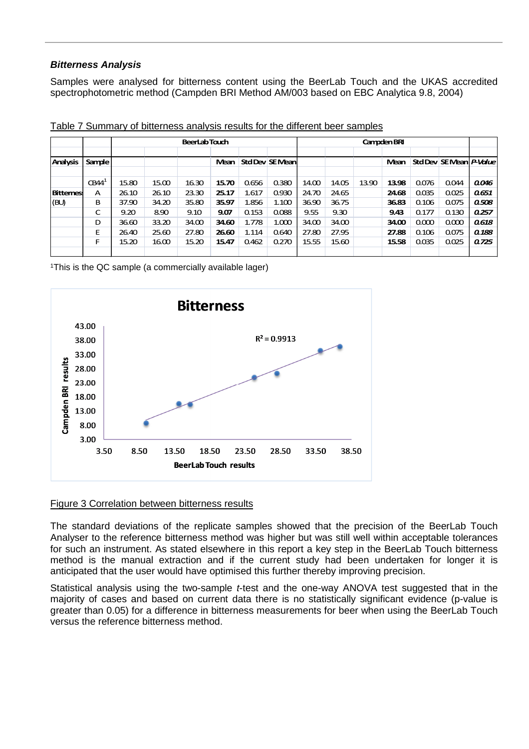## **Bitterness Analysis**

Samples were analysed for bitterness content using the BeerLab Touch and the UKAS accredited spectrophotometric method (Campden BRI Method AM/003 based on EBC Analytica 9.8, 2004)

|                 |                  |       | <b>BeerLabTouch</b> |       |       |       |                 | Campden BRI |       |       |       |       |                         |       |
|-----------------|------------------|-------|---------------------|-------|-------|-------|-----------------|-------------|-------|-------|-------|-------|-------------------------|-------|
| <b>Analysis</b> | Sample           |       |                     |       | Mean  |       | Std Dev SE Mean |             |       |       | Mean  |       | Std Dev SE Mean P-Value |       |
|                 | CBA <sup>1</sup> | 15.80 | 15.00               | 16.30 | 15.70 | 0.656 | 0.380           | 14.00       | 14.05 | 13.90 | 13.98 | 0.076 | 0.044                   | 0.046 |
| <b>Bittemes</b> | А                | 26.10 | 26.10               | 23.30 | 25.17 | 1.617 | 0.930           | 24.70       | 24.65 |       | 24.68 | 0.035 | 0.025                   | 0.651 |
| (BU)            | в                | 37.90 | 34.20               | 35.80 | 35.97 | 1.856 | 1.100           | 36.90       | 36.75 |       | 36.83 | 0.106 | 0.075                   | 0.508 |
|                 | C                | 9.20  | 8.90                | 9.10  | 9.07  | 0.153 | 0.088           | 9.55        | 9.30  |       | 9.43  | 0.177 | 0.130                   | 0.257 |
|                 | D                | 36.60 | 33.20               | 34.00 | 34.60 | 1.778 | 1.000           | 34.00       | 34.00 |       | 34.00 | 0.000 | 0.000                   | 0.618 |
|                 | E                | 26.40 | 25.60               | 27.80 | 26.60 | 1.114 | 0.640           | 27.80       | 27.95 |       | 27.88 | 0.106 | 0.075                   | 0.188 |
|                 | F                | 15.20 | 16.00               | 15.20 | 15.47 | 0.462 | 0.270           | 15.55       | 15.60 |       | 15.58 | 0.035 | 0.025                   | 0.725 |
|                 |                  |       |                     |       |       |       |                 |             |       |       |       |       |                         |       |

Table 7 Summary of bitterness analysis results for the different beer samples

<sup>1</sup>This is the QC sample (a commercially available lager)



## Figure 3 Correlation between bitterness results

The standard deviations of the replicate samples showed that the precision of the BeerLab Touch Analyser to the reference bitterness method was higher but was still well within acceptable tolerances for such an instrument. As stated elsewhere in this report a key step in the BeerLab Touch bitterness method is the manual extraction and if the current study had been undertaken for longer it is anticipated that the user would have optimised this further thereby improving precision.

Statistical analysis using the two-sample *t*-test and the one-way ANOVA test suggested that in the majority of cases and based on current data there is no statistically significant evidence (p-value is greater than 0.05) for a difference in bitterness measurements for beer when using the BeerLab Touch versus the reference bitterness method.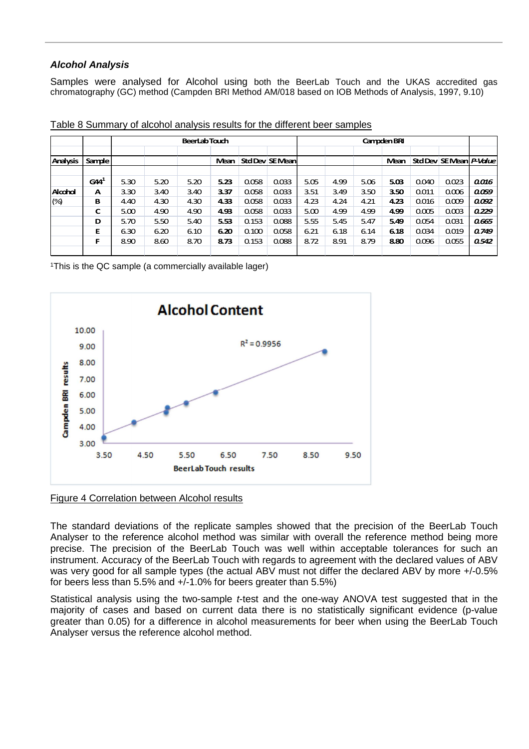## **Alcohol Analysis**

Samples were analysed for Alcohol using both the BeerLab Touch and the UKAS accredited gas chromatography (GC) method (Campden BRI Method AM/018 based on IOB Methods of Analysis, 1997, 9.10)

|                 |                 |      |      | <b>BeerLabTouch</b> |      |       |                 |      |      |      | Campden BRI |       |                         |       |
|-----------------|-----------------|------|------|---------------------|------|-------|-----------------|------|------|------|-------------|-------|-------------------------|-------|
| <b>Analysis</b> | <b>Sample</b>   |      |      |                     | Mean |       | Std Dev SE Mean |      |      |      | Mean        |       | Std Dev SE Mean P-Value |       |
|                 | GA <sup>1</sup> | 5.30 | 5.20 | 5.20                | 5.23 | 0.058 | 0.033           | 5.05 | 4.99 | 5.06 | 5.03        | 0.040 | 0.023                   | 0.016 |
| Alcohol         | A               | 3.30 | 3.40 | 3.40                | 3.37 | 0.058 | 0.033           | 3.51 | 3.49 | 3.50 | 3.50        | 0.011 | 0.006                   | 0.059 |
| $(\%)$          | в               | 4.40 | 4.30 | 4.30                | 4.33 | 0.058 | 0.033           | 4.23 | 4.24 | 4.21 | 4.23        | 0.016 | 0.009                   | 0.092 |
|                 | С               | 5.00 | 4.90 | 4.90                | 4.93 | 0.058 | 0.033           | 5.00 | 4.99 | 4.99 | 4.99        | 0.005 | 0.003                   | 0.229 |
|                 | D               | 5.70 | 5.50 | 5.40                | 5.53 | 0.153 | 0.088           | 5.55 | 5.45 | 5.47 | 5.49        | 0.054 | 0.031                   | 0.665 |
|                 | Е               | 6.30 | 6.20 | 6.10                | 6.20 | 0.100 | 0.058           | 6.21 | 6.18 | 6.14 | 6.18        | 0.034 | 0.019                   | 0.749 |
|                 | F               | 8.90 | 8.60 | 8.70                | 8.73 | 0.153 | 0.088           | 8.72 | 8.91 | 8.79 | 8.80        | 0.096 | 0.055                   | 0.542 |
|                 |                 |      |      |                     |      |       |                 |      |      |      |             |       |                         |       |

Table 8 Summary of alcohol analysis results for the different beer samples

<sup>1</sup>This is the QC sample (a commercially available lager)



#### Figure 4 Correlation between Alcohol results

The standard deviations of the replicate samples showed that the precision of the BeerLab Touch Analyser to the reference alcohol method was similar with overall the reference method being more precise. The precision of the BeerLab Touch was well within acceptable tolerances for such an instrument. Accuracy of the BeerLab Touch with regards to agreement with the declared values of ABV was very good for all sample types (the actual ABV must not differ the declared ABV by more +/-0.5% for beers less than 5.5% and +/-1.0% for beers greater than 5.5%)

Statistical analysis using the two-sample *t*-test and the one-way ANOVA test suggested that in the majority of cases and based on current data there is no statistically significant evidence (p-value greater than 0.05) for a difference in alcohol measurements for beer when using the BeerLab Touch Analyser versus the reference alcohol method.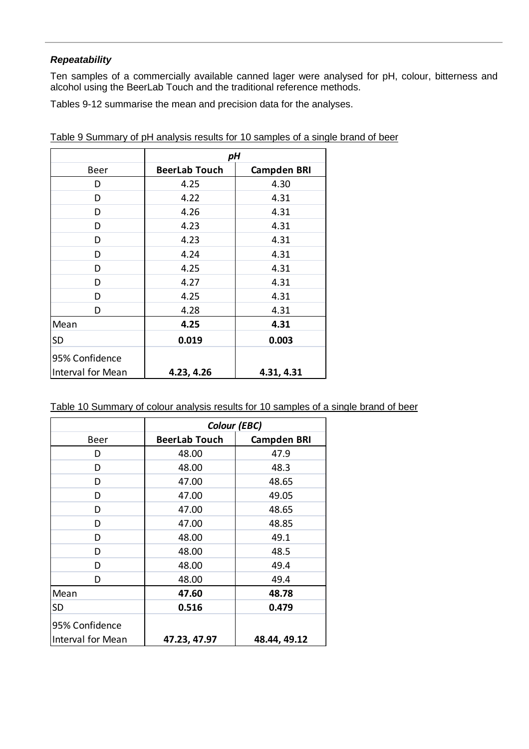## **Repeatability**

Ten samples of a commercially available canned lager were analysed for pH, colour, bitterness and alcohol using the BeerLab Touch and the traditional reference methods.

Tables 9-12 summarise the mean and precision data for the analyses.

|                                     | рH                   |                    |  |  |
|-------------------------------------|----------------------|--------------------|--|--|
| Beer                                | <b>BeerLab Touch</b> | <b>Campden BRI</b> |  |  |
| D                                   | 4.25                 | 4.30               |  |  |
| D                                   | 4.22                 | 4.31               |  |  |
| D                                   | 4.26                 | 4.31               |  |  |
| D                                   | 4.23                 | 4.31               |  |  |
| D                                   | 4.23                 | 4.31               |  |  |
| D                                   | 4.24                 | 4.31               |  |  |
| D                                   | 4.25                 | 4.31               |  |  |
| D                                   | 4.27                 | 4.31               |  |  |
| D                                   | 4.25                 | 4.31               |  |  |
| D                                   | 4.28                 | 4.31               |  |  |
| Mean                                | 4.25                 | 4.31               |  |  |
| <b>SD</b>                           | 0.019                | 0.003              |  |  |
| 95% Confidence<br>Interval for Mean | 4.23, 4.26           | 4.31, 4.31         |  |  |

Table 9 Summary of pH analysis results for 10 samples of a single brand of beer

| Table 10 Summary of colour analysis results for 10 samples of a single brand of beer |
|--------------------------------------------------------------------------------------|
|--------------------------------------------------------------------------------------|

|                   | Colour (EBC)         |                    |
|-------------------|----------------------|--------------------|
| <b>Beer</b>       | <b>BeerLab Touch</b> | <b>Campden BRI</b> |
| D                 | 48.00                | 47.9               |
| D                 | 48.00                | 48.3               |
| D                 | 47.00                | 48.65              |
| D                 | 47.00                | 49.05              |
| D                 | 47.00                | 48.65              |
| D                 | 47.00                | 48.85              |
| D                 | 48.00                | 49.1               |
| D                 | 48.00                | 48.5               |
| D                 | 48.00                | 49.4               |
| D                 | 48.00                | 49.4               |
| Mean              | 47.60                | 48.78              |
| <b>SD</b>         | 0.516                | 0.479              |
| 95% Confidence    |                      |                    |
| Interval for Mean | 47.23, 47.97         | 48.44, 49.12       |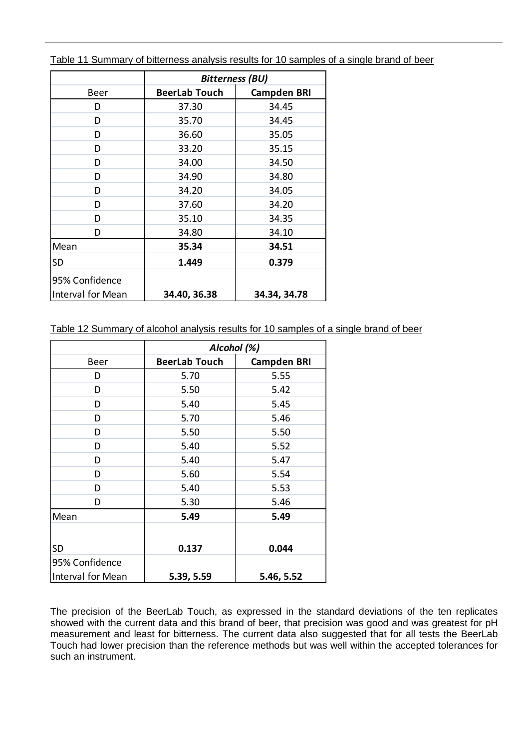|                   | <b>Bitterness (BU)</b> |                    |
|-------------------|------------------------|--------------------|
| Beer              | <b>BeerLab Touch</b>   | <b>Campden BRI</b> |
| D                 | 37.30                  | 34.45              |
| D                 | 35.70                  | 34.45              |
| D                 | 36.60                  | 35.05              |
| D                 | 33.20                  | 35.15              |
| D                 | 34.00                  | 34.50              |
| D                 | 34.90                  | 34.80              |
| D                 | 34.20                  | 34.05              |
| D                 | 37.60                  | 34.20              |
| D                 | 35.10                  | 34.35              |
| D                 | 34.80                  | 34.10              |
| Mean              | 35.34                  | 34.51              |
| <b>SD</b>         | 1.449                  | 0.379              |
| 95% Confidence    |                        |                    |
| Interval for Mean | 34.40, 36.38           | 34.34, 34.78       |

Table 11 Summary of bitterness analysis results for 10 samples of a single brand of beer

Table 12 Summary of alcohol analysis results for 10 samples of a single brand of beer

|                   | Alcohol (%)          |                    |
|-------------------|----------------------|--------------------|
| <b>Beer</b>       | <b>BeerLab Touch</b> | <b>Campden BRI</b> |
| D                 | 5.70                 | 5.55               |
| D                 | 5.50                 | 5.42               |
| D                 | 5.40                 | 5.45               |
| D                 | 5.70                 | 5.46               |
| D                 | 5.50                 | 5.50               |
| D                 | 5.40                 | 5.52               |
| D                 | 5.40                 | 5.47               |
| D                 | 5.60                 | 5.54               |
| D                 | 5.40                 | 5.53               |
| D                 | 5.30                 | 5.46               |
| Mean              | 5.49                 | 5.49               |
|                   |                      |                    |
| <b>SD</b>         | 0.137                | 0.044              |
| 95% Confidence    |                      |                    |
| Interval for Mean | 5.39, 5.59           | 5.46, 5.52         |

The precision of the BeerLab Touch, as expressed in the standard deviations of the ten replicates showed with the current data and this brand of beer, that precision was good and was greatest for pH measurement and least for bitterness. The current data also suggested that for all tests the BeerLab Touch had lower precision than the reference methods but was well within the accepted tolerances for such an instrument.